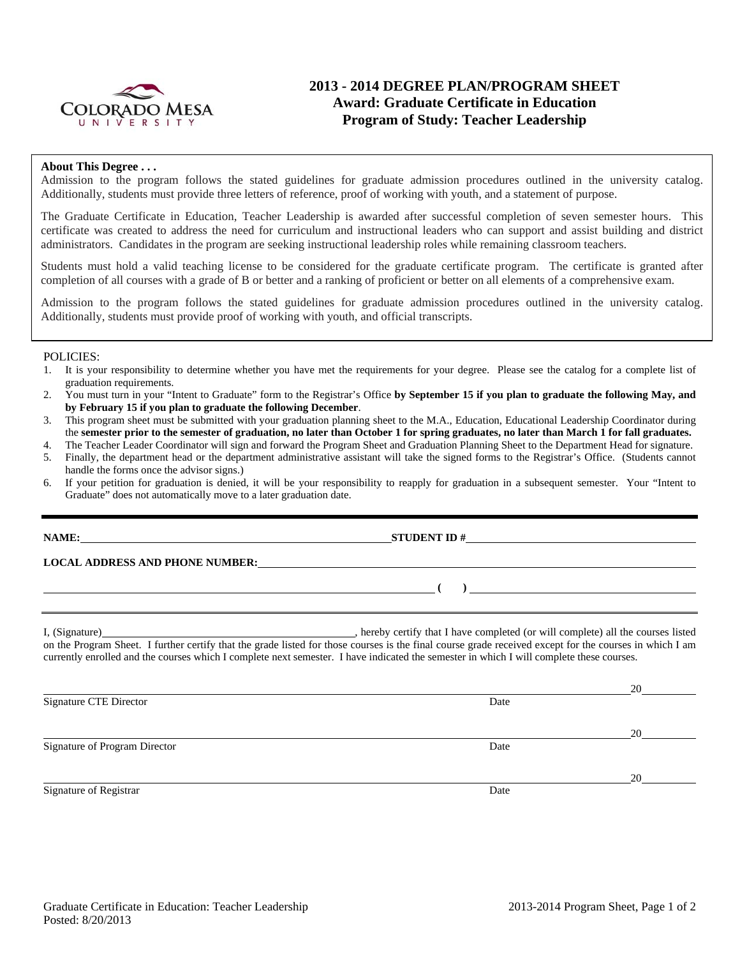

## **2013 - 2014 DEGREE PLAN/PROGRAM SHEET Award: Graduate Certificate in Education Program of Study: Teacher Leadership**

#### **About This Degree . . .**

Admission to the program follows the stated guidelines for graduate admission procedures outlined in the university catalog. Additionally, students must provide three letters of reference, proof of working with youth, and a statement of purpose.

The Graduate Certificate in Education, Teacher Leadership is awarded after successful completion of seven semester hours. This certificate was created to address the need for curriculum and instructional leaders who can support and assist building and district administrators. Candidates in the program are seeking instructional leadership roles while remaining classroom teachers.

Students must hold a valid teaching license to be considered for the graduate certificate program. The certificate is granted after completion of all courses with a grade of B or better and a ranking of proficient or better on all elements of a comprehensive exam.

Admission to the program follows the stated guidelines for graduate admission procedures outlined in the university catalog. Additionally, students must provide proof of working with youth, and official transcripts.

#### POLICIES:

- 1. It is your responsibility to determine whether you have met the requirements for your degree. Please see the catalog for a complete list of graduation requirements.
- 2. You must turn in your "Intent to Graduate" form to the Registrar's Office **by September 15 if you plan to graduate the following May, and by February 15 if you plan to graduate the following December**.
- 3. This program sheet must be submitted with your graduation planning sheet to the M.A., Education, Educational Leadership Coordinator during the **semester prior to the semester of graduation, no later than October 1 for spring graduates, no later than March 1 for fall graduates.**
- 4. The Teacher Leader Coordinator will sign and forward the Program Sheet and Graduation Planning Sheet to the Department Head for signature.
- 5. Finally, the department head or the department administrative assistant will take the signed forms to the Registrar's Office. (Students cannot handle the forms once the advisor signs.)
- 6. If your petition for graduation is denied, it will be your responsibility to reapply for graduation in a subsequent semester. Your "Intent to Graduate" does not automatically move to a later graduation date.

| <b>NAME:</b><br><u> 1989 - Johann Harry Barn, mars ar brenin beskriuw fan de ferskearre fan de ferskearre fan de ferskearre fan d</u> |                                                                                                                                                                                                                                                                                                                      |
|---------------------------------------------------------------------------------------------------------------------------------------|----------------------------------------------------------------------------------------------------------------------------------------------------------------------------------------------------------------------------------------------------------------------------------------------------------------------|
|                                                                                                                                       | LOCAL ADDRESS AND PHONE NUMBER: The contract of the contract of the contract of the contract of the contract of the contract of the contract of the contract of the contract of the contract of the contract of the contract o                                                                                       |
|                                                                                                                                       | $\overline{a}$                                                                                                                                                                                                                                                                                                       |
| I, (Signature)                                                                                                                        | hereby certify that I have completed (or will complete) all the courses listed<br>$\mathcal{A}$ . The contract of the contract of the contract of the contract of the contract of the contract of the contract of the contract of the contract of the contract of the contract of the contract of the contract of th |

on the Program Sheet. I further certify that the grade listed for those courses is the final course grade received except for the courses in which I am currently enrolled and the courses which I complete next semester. I have indicated the semester in which I will complete these courses.

20 Signature CTE Director Date 20 Signature of Program Director **Date** 20 Signature of Registrar Date and Separature of Registrar Date